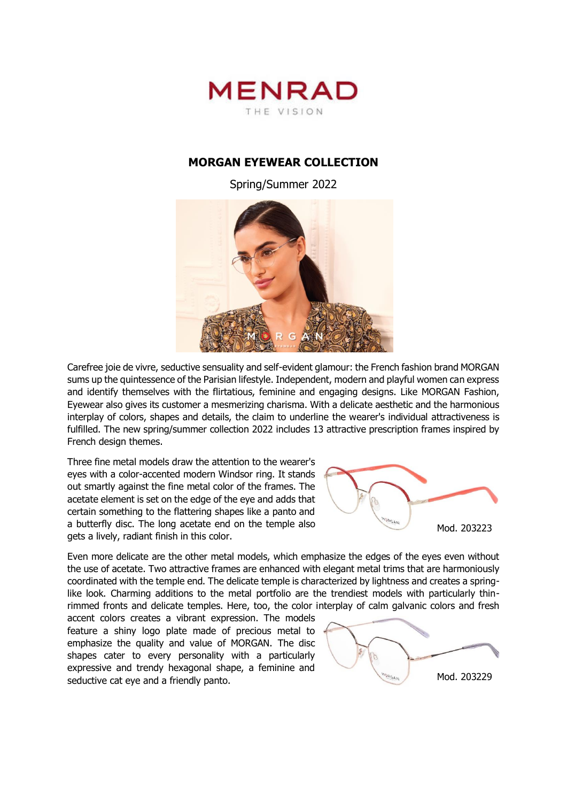

## **MORGAN EYEWEAR COLLECTION**

Spring/Summer 2022



Carefree joie de vivre, seductive sensuality and self-evident glamour: the French fashion brand MORGAN sums up the quintessence of the Parisian lifestyle. Independent, modern and playful women can express and identify themselves with the flirtatious, feminine and engaging designs. Like MORGAN Fashion, Eyewear also gives its customer a mesmerizing charisma. With a delicate aesthetic and the harmonious interplay of colors, shapes and details, the claim to underline the wearer's individual attractiveness is fulfilled. The new spring/summer collection 2022 includes 13 attractive prescription frames inspired by French design themes.

Three fine metal models draw the attention to the wearer's eyes with a color-accented modern Windsor ring. It stands out smartly against the fine metal color of the frames. The acetate element is set on the edge of the eye and adds that certain something to the flattering shapes like a panto and a butterfly disc. The long acetate end on the temple also gets a lively, radiant finish in this color.



Even more delicate are the other metal models, which emphasize the edges of the eyes even without the use of acetate. Two attractive frames are enhanced with elegant metal trims that are harmoniously coordinated with the temple end. The delicate temple is characterized by lightness and creates a springlike look. Charming additions to the metal portfolio are the trendiest models with particularly thinrimmed fronts and delicate temples. Here, too, the color interplay of calm galvanic colors and fresh

accent colors creates a vibrant expression. The models feature a shiny logo plate made of precious metal to emphasize the quality and value of MORGAN. The disc shapes cater to every personality with a particularly expressive and trendy hexagonal shape, a feminine and seductive cat eye and a friendly panto.